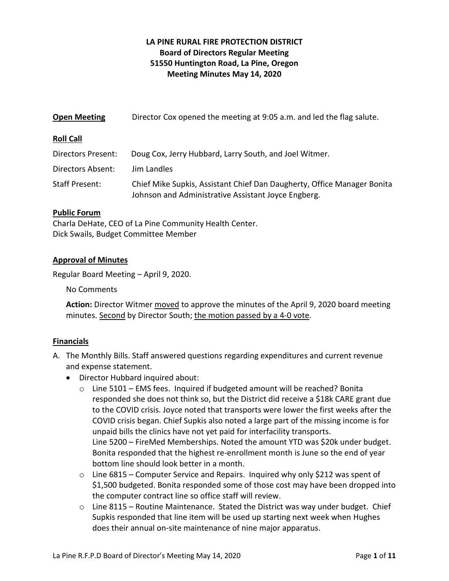# **LA PINE RURAL FIRE PROTECTION DISTRICT Board of Directors Regular Meeting 51550 Huntington Road, La Pine, Oregon Meeting Minutes May 14, 2020**

| <b>Open Meeting</b>       | Director Cox opened the meeting at 9:05 a.m. and led the flag salute.                                                          |
|---------------------------|--------------------------------------------------------------------------------------------------------------------------------|
| <b>Roll Call</b>          |                                                                                                                                |
| <b>Directors Present:</b> | Doug Cox, Jerry Hubbard, Larry South, and Joel Witmer.                                                                         |
| <b>Directors Absent:</b>  | Jim Landles                                                                                                                    |
| <b>Staff Present:</b>     | Chief Mike Supkis, Assistant Chief Dan Daugherty, Office Manager Bonita<br>Johnson and Administrative Assistant Joyce Engberg. |

### **Public Forum**

Charla DeHate, CEO of La Pine Community Health Center. Dick Swails, Budget Committee Member

#### **Approval of Minutes**

Regular Board Meeting – April 9, 2020.

No Comments

**Action:** Director Witmer moved to approve the minutes of the April 9, 2020 board meeting minutes. Second by Director South; the motion passed by a 4-0 vote.

#### **Financials**

- A. The Monthly Bills. Staff answered questions regarding expenditures and current revenue and expense statement.
	- Director Hubbard inquired about:
		- $\circ$  Line 5101 EMS fees. Inquired if budgeted amount will be reached? Bonita responded she does not think so, but the District did receive a \$18k CARE grant due to the COVID crisis. Joyce noted that transports were lower the first weeks after the COVID crisis began. Chief Supkis also noted a large part of the missing income is for unpaid bills the clinics have not yet paid for interfacility transports. Line 5200 – FireMed Memberships. Noted the amount YTD was \$20k under budget. Bonita responded that the highest re-enrollment month is June so the end of year bottom line should look better in a month.
		- $\circ$  Line 6815 Computer Service and Repairs. Inquired why only \$212 was spent of \$1,500 budgeted. Bonita responded some of those cost may have been dropped into the computer contract line so office staff will review.
		- $\circ$  Line 8115 Routine Maintenance. Stated the District was way under budget. Chief Supkis responded that line item will be used up starting next week when Hughes does their annual on-site maintenance of nine major apparatus.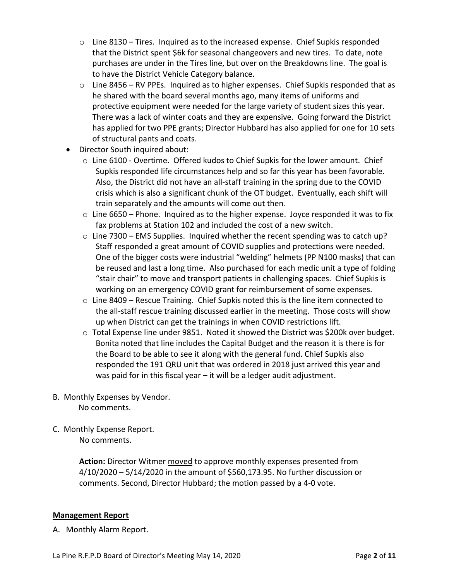- $\circ$  Line 8130 Tires. Inquired as to the increased expense. Chief Supkis responded that the District spent \$6k for seasonal changeovers and new tires. To date, note purchases are under in the Tires line, but over on the Breakdowns line. The goal is to have the District Vehicle Category balance.
- o Line 8456 RV PPEs. Inquired as to higher expenses. Chief Supkis responded that as he shared with the board several months ago, many items of uniforms and protective equipment were needed for the large variety of student sizes this year. There was a lack of winter coats and they are expensive. Going forward the District has applied for two PPE grants; Director Hubbard has also applied for one for 10 sets of structural pants and coats.
- Director South inquired about:
	- $\circ$  Line 6100 Overtime. Offered kudos to Chief Supkis for the lower amount. Chief Supkis responded life circumstances help and so far this year has been favorable. Also, the District did not have an all-staff training in the spring due to the COVID crisis which is also a significant chunk of the OT budget. Eventually, each shift will train separately and the amounts will come out then.
	- $\circ$  Line 6650 Phone. Inquired as to the higher expense. Joyce responded it was to fix fax problems at Station 102 and included the cost of a new switch.
	- $\circ$  Line 7300 EMS Supplies. Inquired whether the recent spending was to catch up? Staff responded a great amount of COVID supplies and protections were needed. One of the bigger costs were industrial "welding" helmets (PP N100 masks) that can be reused and last a long time. Also purchased for each medic unit a type of folding "stair chair" to move and transport patients in challenging spaces. Chief Supkis is working on an emergency COVID grant for reimbursement of some expenses.
	- $\circ$  Line 8409 Rescue Training. Chief Supkis noted this is the line item connected to the all-staff rescue training discussed earlier in the meeting. Those costs will show up when District can get the trainings in when COVID restrictions lift.
	- o Total Expense line under 9851. Noted it showed the District was \$200k over budget. Bonita noted that line includes the Capital Budget and the reason it is there is for the Board to be able to see it along with the general fund. Chief Supkis also responded the 191 QRU unit that was ordered in 2018 just arrived this year and was paid for in this fiscal year – it will be a ledger audit adjustment.
- B. Monthly Expenses by Vendor. No comments.
- C. Monthly Expense Report. No comments.

**Action:** Director Witmer moved to approve monthly expenses presented from 4/10/2020 – 5/14/2020 in the amount of \$560,173.95. No further discussion or comments. Second, Director Hubbard; the motion passed by a 4-0 vote.

### **Management Report**

A. Monthly Alarm Report.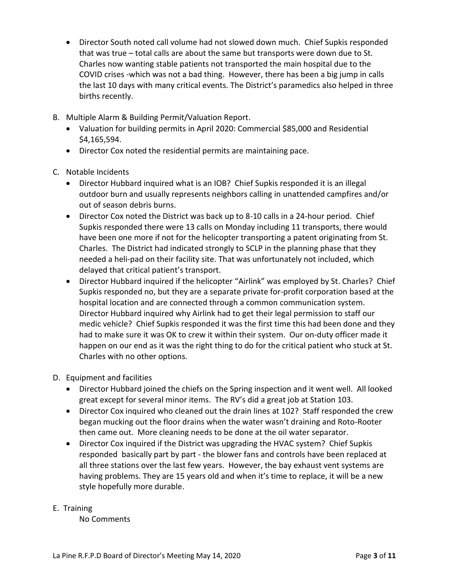- Director South noted call volume had not slowed down much. Chief Supkis responded that was true – total calls are about the same but transports were down due to St. Charles now wanting stable patients not transported the main hospital due to the COVID crises -which was not a bad thing. However, there has been a big jump in calls the last 10 days with many critical events. The District's paramedics also helped in three births recently.
- B. Multiple Alarm & Building Permit/Valuation Report.
	- Valuation for building permits in April 2020: Commercial \$85,000 and Residential \$4,165,594.
	- Director Cox noted the residential permits are maintaining pace.
- C. Notable Incidents
	- Director Hubbard inquired what is an IOB? Chief Supkis responded it is an illegal outdoor burn and usually represents neighbors calling in unattended campfires and/or out of season debris burns.
	- Director Cox noted the District was back up to 8-10 calls in a 24-hour period. Chief Supkis responded there were 13 calls on Monday including 11 transports, there would have been one more if not for the helicopter transporting a patent originating from St. Charles. The District had indicated strongly to SCLP in the planning phase that they needed a heli-pad on their facility site. That was unfortunately not included, which delayed that critical patient's transport.
	- Director Hubbard inquired if the helicopter "Airlink" was employed by St. Charles? Chief Supkis responded no, but they are a separate private for-profit corporation based at the hospital location and are connected through a common communication system. Director Hubbard inquired why Airlink had to get their legal permission to staff our medic vehicle? Chief Supkis responded it was the first time this had been done and they had to make sure it was OK to crew it within their system. Our on-duty officer made it happen on our end as it was the right thing to do for the critical patient who stuck at St. Charles with no other options.
- D. Equipment and facilities
	- Director Hubbard joined the chiefs on the Spring inspection and it went well. All looked great except for several minor items. The RV's did a great job at Station 103.
	- Director Cox inquired who cleaned out the drain lines at 102? Staff responded the crew began mucking out the floor drains when the water wasn't draining and Roto-Rooter then came out. More cleaning needs to be done at the oil water separator.
	- Director Cox inquired if the District was upgrading the HVAC system? Chief Supkis responded basically part by part - the blower fans and controls have been replaced at all three stations over the last few years. However, the bay exhaust vent systems are having problems. They are 15 years old and when it's time to replace, it will be a new style hopefully more durable.
- E. Training

No Comments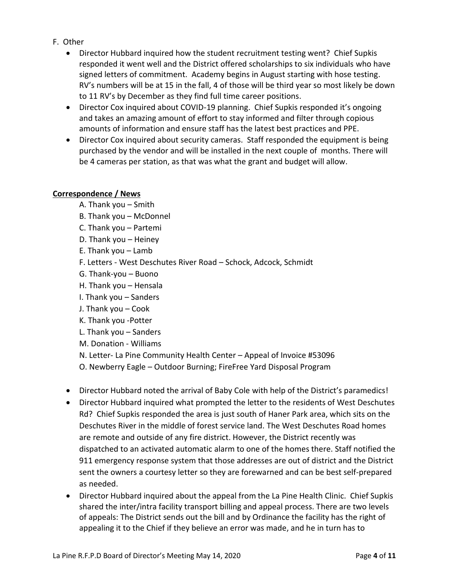- F. Other
	- Director Hubbard inquired how the student recruitment testing went? Chief Supkis responded it went well and the District offered scholarships to six individuals who have signed letters of commitment. Academy begins in August starting with hose testing. RV's numbers will be at 15 in the fall, 4 of those will be third year so most likely be down to 11 RV's by December as they find full time career positions.
	- Director Cox inquired about COVID-19 planning. Chief Supkis responded it's ongoing and takes an amazing amount of effort to stay informed and filter through copious amounts of information and ensure staff has the latest best practices and PPE.
	- Director Cox inquired about security cameras. Staff responded the equipment is being purchased by the vendor and will be installed in the next couple of months. There will be 4 cameras per station, as that was what the grant and budget will allow.

### **Correspondence / News**

- A. Thank you Smith
- B. Thank you McDonnel
- C. Thank you Partemi
- D. Thank you Heiney
- E. Thank you Lamb
- F. Letters West Deschutes River Road Schock, Adcock, Schmidt
- G. Thank-you Buono
- H. Thank you Hensala
- I. Thank you Sanders
- J. Thank you Cook
- K. Thank you -Potter
- L. Thank you Sanders
- M. Donation Williams
- N. Letter- La Pine Community Health Center Appeal of Invoice #53096
- O. Newberry Eagle Outdoor Burning; FireFree Yard Disposal Program
- Director Hubbard noted the arrival of Baby Cole with help of the District's paramedics!
- Director Hubbard inquired what prompted the letter to the residents of West Deschutes Rd? Chief Supkis responded the area is just south of Haner Park area, which sits on the Deschutes River in the middle of forest service land. The West Deschutes Road homes are remote and outside of any fire district. However, the District recently was dispatched to an activated automatic alarm to one of the homes there. Staff notified the 911 emergency response system that those addresses are out of district and the District sent the owners a courtesy letter so they are forewarned and can be best self-prepared as needed.
- Director Hubbard inquired about the appeal from the La Pine Health Clinic. Chief Supkis shared the inter/intra facility transport billing and appeal process. There are two levels of appeals: The District sends out the bill and by Ordinance the facility has the right of appealing it to the Chief if they believe an error was made, and he in turn has to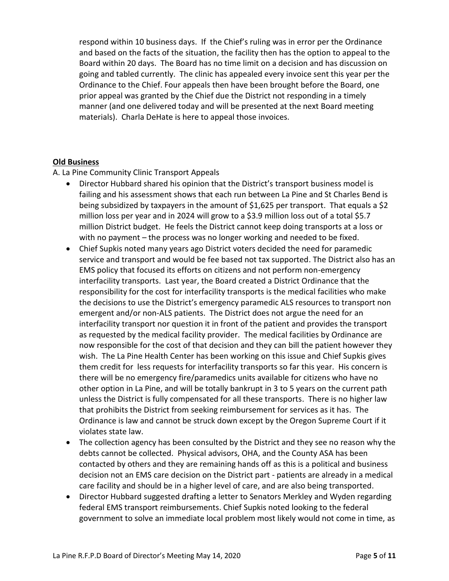respond within 10 business days. If the Chief's ruling was in error per the Ordinance and based on the facts of the situation, the facility then has the option to appeal to the Board within 20 days. The Board has no time limit on a decision and has discussion on going and tabled currently. The clinic has appealed every invoice sent this year per the Ordinance to the Chief. Four appeals then have been brought before the Board, one prior appeal was granted by the Chief due the District not responding in a timely manner (and one delivered today and will be presented at the next Board meeting materials). Charla DeHate is here to appeal those invoices.

### **Old Business**

A. La Pine Community Clinic Transport Appeals

- Director Hubbard shared his opinion that the District's transport business model is failing and his assessment shows that each run between La Pine and St Charles Bend is being subsidized by taxpayers in the amount of \$1,625 per transport. That equals a \$2 million loss per year and in 2024 will grow to a \$3.9 million loss out of a total \$5.7 million District budget. He feels the District cannot keep doing transports at a loss or with no payment – the process was no longer working and needed to be fixed.
- Chief Supkis noted many years ago District voters decided the need for paramedic service and transport and would be fee based not tax supported. The District also has an EMS policy that focused its efforts on citizens and not perform non-emergency interfacility transports. Last year, the Board created a District Ordinance that the responsibility for the cost for interfacility transports is the medical facilities who make the decisions to use the District's emergency paramedic ALS resources to transport non emergent and/or non-ALS patients. The District does not argue the need for an interfacility transport nor question it in front of the patient and provides the transport as requested by the medical facility provider. The medical facilities by Ordinance are now responsible for the cost of that decision and they can bill the patient however they wish. The La Pine Health Center has been working on this issue and Chief Supkis gives them credit for less requests for interfacility transports so far this year. His concern is there will be no emergency fire/paramedics units available for citizens who have no other option in La Pine, and will be totally bankrupt in 3 to 5 years on the current path unless the District is fully compensated for all these transports. There is no higher law that prohibits the District from seeking reimbursement for services as it has. The Ordinance is law and cannot be struck down except by the Oregon Supreme Court if it violates state law.
- The collection agency has been consulted by the District and they see no reason why the debts cannot be collected. Physical advisors, OHA, and the County ASA has been contacted by others and they are remaining hands off as this is a political and business decision not an EMS care decision on the District part - patients are already in a medical care facility and should be in a higher level of care, and are also being transported.
- Director Hubbard suggested drafting a letter to Senators Merkley and Wyden regarding federal EMS transport reimbursements. Chief Supkis noted looking to the federal government to solve an immediate local problem most likely would not come in time, as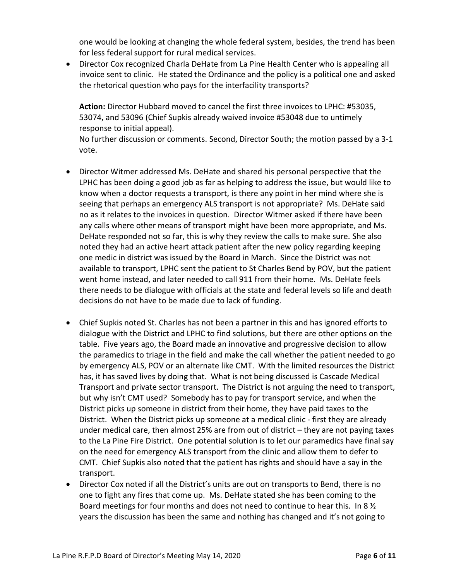one would be looking at changing the whole federal system, besides, the trend has been for less federal support for rural medical services.

• Director Cox recognized Charla DeHate from La Pine Health Center who is appealing all invoice sent to clinic. He stated the Ordinance and the policy is a political one and asked the rhetorical question who pays for the interfacility transports?

**Action:** Director Hubbard moved to cancel the first three invoices to LPHC: #53035, 53074, and 53096 (Chief Supkis already waived invoice #53048 due to untimely response to initial appeal).

No further discussion or comments. Second, Director South; the motion passed by a 3-1 vote.

- Director Witmer addressed Ms. DeHate and shared his personal perspective that the LPHC has been doing a good job as far as helping to address the issue, but would like to know when a doctor requests a transport, is there any point in her mind where she is seeing that perhaps an emergency ALS transport is not appropriate? Ms. DeHate said no as it relates to the invoices in question. Director Witmer asked if there have been any calls where other means of transport might have been more appropriate, and Ms. DeHate responded not so far, this is why they review the calls to make sure. She also noted they had an active heart attack patient after the new policy regarding keeping one medic in district was issued by the Board in March. Since the District was not available to transport, LPHC sent the patient to St Charles Bend by POV, but the patient went home instead, and later needed to call 911 from their home. Ms. DeHate feels there needs to be dialogue with officials at the state and federal levels so life and death decisions do not have to be made due to lack of funding.
- Chief Supkis noted St. Charles has not been a partner in this and has ignored efforts to dialogue with the District and LPHC to find solutions, but there are other options on the table. Five years ago, the Board made an innovative and progressive decision to allow the paramedics to triage in the field and make the call whether the patient needed to go by emergency ALS, POV or an alternate like CMT. With the limited resources the District has, it has saved lives by doing that. What is not being discussed is Cascade Medical Transport and private sector transport. The District is not arguing the need to transport, but why isn't CMT used? Somebody has to pay for transport service, and when the District picks up someone in district from their home, they have paid taxes to the District. When the District picks up someone at a medical clinic - first they are already under medical care, then almost 25% are from out of district – they are not paying taxes to the La Pine Fire District. One potential solution is to let our paramedics have final say on the need for emergency ALS transport from the clinic and allow them to defer to CMT. Chief Supkis also noted that the patient has rights and should have a say in the transport.
- Director Cox noted if all the District's units are out on transports to Bend, there is no one to fight any fires that come up. Ms. DeHate stated she has been coming to the Board meetings for four months and does not need to continue to hear this. In 8  $\frac{1}{2}$ years the discussion has been the same and nothing has changed and it's not going to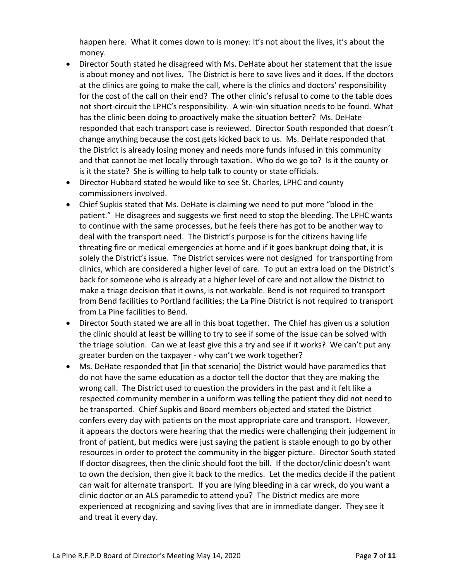happen here. What it comes down to is money: It's not about the lives, it's about the money.

- Director South stated he disagreed with Ms. DeHate about her statement that the issue is about money and not lives. The District is here to save lives and it does. If the doctors at the clinics are going to make the call, where is the clinics and doctors' responsibility for the cost of the call on their end? The other clinic's refusal to come to the table does not short-circuit the LPHC's responsibility. A win-win situation needs to be found. What has the clinic been doing to proactively make the situation better? Ms. DeHate responded that each transport case is reviewed. Director South responded that doesn't change anything because the cost gets kicked back to us. Ms. DeHate responded that the District is already losing money and needs more funds infused in this community and that cannot be met locally through taxation. Who do we go to? Is it the county or is it the state? She is willing to help talk to county or state officials.
- Director Hubbard stated he would like to see St. Charles, LPHC and county commissioners involved.
- Chief Supkis stated that Ms. DeHate is claiming we need to put more "blood in the patient." He disagrees and suggests we first need to stop the bleeding. The LPHC wants to continue with the same processes, but he feels there has got to be another way to deal with the transport need. The District's purpose is for the citizens having life threating fire or medical emergencies at home and if it goes bankrupt doing that, it is solely the District's issue. The District services were not designed for transporting from clinics, which are considered a higher level of care. To put an extra load on the District's back for someone who is already at a higher level of care and not allow the District to make a triage decision that it owns, is not workable. Bend is not required to transport from Bend facilities to Portland facilities; the La Pine District is not required to transport from La Pine facilities to Bend.
- Director South stated we are all in this boat together. The Chief has given us a solution the clinic should at least be willing to try to see if some of the issue can be solved with the triage solution. Can we at least give this a try and see if it works? We can't put any greater burden on the taxpayer - why can't we work together?
- Ms. DeHate responded that [in that scenario] the District would have paramedics that do not have the same education as a doctor tell the doctor that they are making the wrong call. The District used to question the providers in the past and it felt like a respected community member in a uniform was telling the patient they did not need to be transported. Chief Supkis and Board members objected and stated the District confers every day with patients on the most appropriate care and transport. However, it appears the doctors were hearing that the medics were challenging their judgement in front of patient, but medics were just saying the patient is stable enough to go by other resources in order to protect the community in the bigger picture. Director South stated If doctor disagrees, then the clinic should foot the bill. If the doctor/clinic doesn't want to own the decision, then give it back to the medics. Let the medics decide if the patient can wait for alternate transport. If you are lying bleeding in a car wreck, do you want a clinic doctor or an ALS paramedic to attend you? The District medics are more experienced at recognizing and saving lives that are in immediate danger. They see it and treat it every day.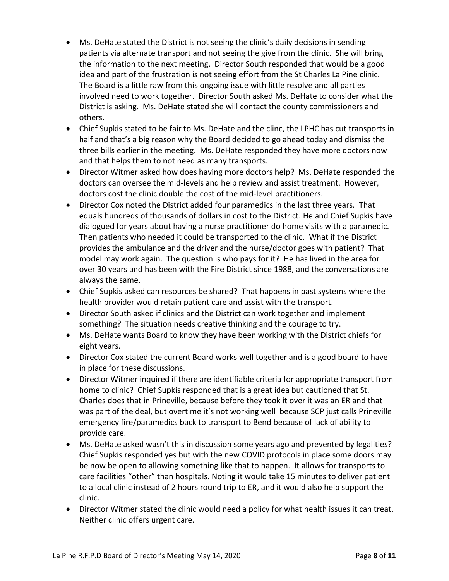- Ms. DeHate stated the District is not seeing the clinic's daily decisions in sending patients via alternate transport and not seeing the give from the clinic. She will bring the information to the next meeting. Director South responded that would be a good idea and part of the frustration is not seeing effort from the St Charles La Pine clinic. The Board is a little raw from this ongoing issue with little resolve and all parties involved need to work together. Director South asked Ms. DeHate to consider what the District is asking. Ms. DeHate stated she will contact the county commissioners and others.
- Chief Supkis stated to be fair to Ms. DeHate and the clinc, the LPHC has cut transports in half and that's a big reason why the Board decided to go ahead today and dismiss the three bills earlier in the meeting. Ms. DeHate responded they have more doctors now and that helps them to not need as many transports.
- Director Witmer asked how does having more doctors help? Ms. DeHate responded the doctors can oversee the mid-levels and help review and assist treatment. However, doctors cost the clinic double the cost of the mid-level practitioners.
- Director Cox noted the District added four paramedics in the last three years. That equals hundreds of thousands of dollars in cost to the District. He and Chief Supkis have dialogued for years about having a nurse practitioner do home visits with a paramedic. Then patients who needed it could be transported to the clinic. What if the District provides the ambulance and the driver and the nurse/doctor goes with patient? That model may work again. The question is who pays for it? He has lived in the area for over 30 years and has been with the Fire District since 1988, and the conversations are always the same.
- Chief Supkis asked can resources be shared? That happens in past systems where the health provider would retain patient care and assist with the transport.
- Director South asked if clinics and the District can work together and implement something? The situation needs creative thinking and the courage to try.
- Ms. DeHate wants Board to know they have been working with the District chiefs for eight years.
- Director Cox stated the current Board works well together and is a good board to have in place for these discussions.
- Director Witmer inquired if there are identifiable criteria for appropriate transport from home to clinic? Chief Supkis responded that is a great idea but cautioned that St. Charles does that in Prineville, because before they took it over it was an ER and that was part of the deal, but overtime it's not working well because SCP just calls Prineville emergency fire/paramedics back to transport to Bend because of lack of ability to provide care.
- Ms. DeHate asked wasn't this in discussion some years ago and prevented by legalities? Chief Supkis responded yes but with the new COVID protocols in place some doors may be now be open to allowing something like that to happen. It allows for transports to care facilities "other" than hospitals. Noting it would take 15 minutes to deliver patient to a local clinic instead of 2 hours round trip to ER, and it would also help support the clinic.
- Director Witmer stated the clinic would need a policy for what health issues it can treat. Neither clinic offers urgent care.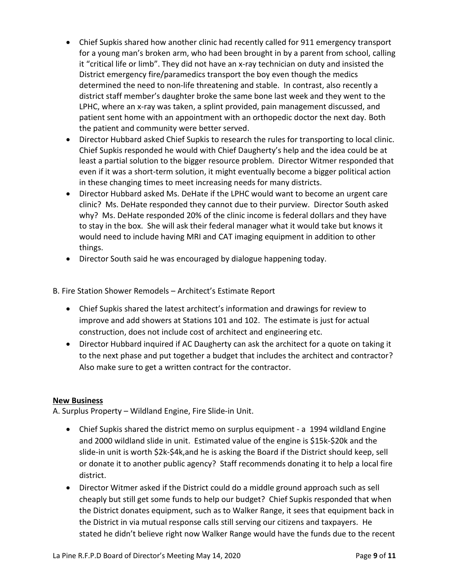- Chief Supkis shared how another clinic had recently called for 911 emergency transport for a young man's broken arm, who had been brought in by a parent from school, calling it "critical life or limb". They did not have an x-ray technician on duty and insisted the District emergency fire/paramedics transport the boy even though the medics determined the need to non-life threatening and stable. In contrast, also recently a district staff member's daughter broke the same bone last week and they went to the LPHC, where an x-ray was taken, a splint provided, pain management discussed, and patient sent home with an appointment with an orthopedic doctor the next day. Both the patient and community were better served.
- Director Hubbard asked Chief Supkis to research the rules for transporting to local clinic. Chief Supkis responded he would with Chief Daugherty's help and the idea could be at least a partial solution to the bigger resource problem. Director Witmer responded that even if it was a short-term solution, it might eventually become a bigger political action in these changing times to meet increasing needs for many districts.
- Director Hubbard asked Ms. DeHate if the LPHC would want to become an urgent care clinic? Ms. DeHate responded they cannot due to their purview. Director South asked why? Ms. DeHate responded 20% of the clinic income is federal dollars and they have to stay in the box. She will ask their federal manager what it would take but knows it would need to include having MRI and CAT imaging equipment in addition to other things.
- Director South said he was encouraged by dialogue happening today.

B. Fire Station Shower Remodels – Architect's Estimate Report

- Chief Supkis shared the latest architect's information and drawings for review to improve and add showers at Stations 101 and 102. The estimate is just for actual construction, does not include cost of architect and engineering etc.
- Director Hubbard inquired if AC Daugherty can ask the architect for a quote on taking it to the next phase and put together a budget that includes the architect and contractor? Also make sure to get a written contract for the contractor.

### **New Business**

A. Surplus Property – Wildland Engine, Fire Slide-in Unit.

- Chief Supkis shared the district memo on surplus equipment a 1994 wildland Engine and 2000 wildland slide in unit. Estimated value of the engine is \$15k-\$20k and the slide-in unit is worth \$2k-\$4k,and he is asking the Board if the District should keep, sell or donate it to another public agency? Staff recommends donating it to help a local fire district.
- Director Witmer asked if the District could do a middle ground approach such as sell cheaply but still get some funds to help our budget? Chief Supkis responded that when the District donates equipment, such as to Walker Range, it sees that equipment back in the District in via mutual response calls still serving our citizens and taxpayers. He stated he didn't believe right now Walker Range would have the funds due to the recent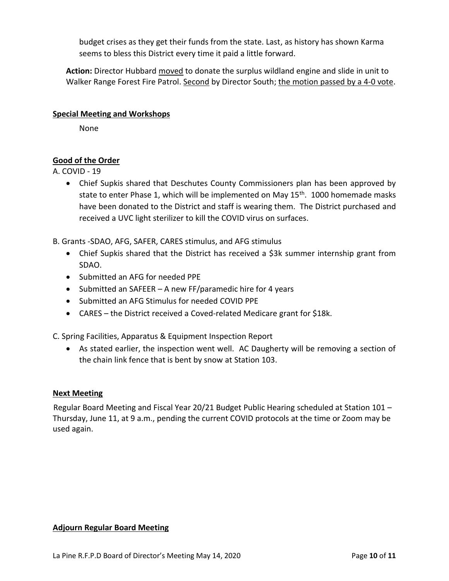budget crises as they get their funds from the state. Last, as history has shown Karma seems to bless this District every time it paid a little forward.

**Action:** Director Hubbard moved to donate the surplus wildland engine and slide in unit to Walker Range Forest Fire Patrol. Second by Director South; the motion passed by a 4-0 vote.

### **Special Meeting and Workshops**

None

# **Good of the Order**

A. COVID - 19

• Chief Supkis shared that Deschutes County Commissioners plan has been approved by state to enter Phase 1, which will be implemented on May  $15<sup>th</sup>$ . 1000 homemade masks have been donated to the District and staff is wearing them. The District purchased and received a UVC light sterilizer to kill the COVID virus on surfaces.

B. Grants -SDAO, AFG, SAFER, CARES stimulus, and AFG stimulus

- Chief Supkis shared that the District has received a \$3k summer internship grant from SDAO.
- Submitted an AFG for needed PPE
- Submitted an SAFEER A new FF/paramedic hire for 4 years
- Submitted an AFG Stimulus for needed COVID PPE
- CARES the District received a Coved-related Medicare grant for \$18k.

C. Spring Facilities, Apparatus & Equipment Inspection Report

• As stated earlier, the inspection went well. AC Daugherty will be removing a section of the chain link fence that is bent by snow at Station 103.

## **Next Meeting**

Regular Board Meeting and Fiscal Year 20/21 Budget Public Hearing scheduled at Station 101 – Thursday, June 11, at 9 a.m., pending the current COVID protocols at the time or Zoom may be used again.

### **Adjourn Regular Board Meeting**